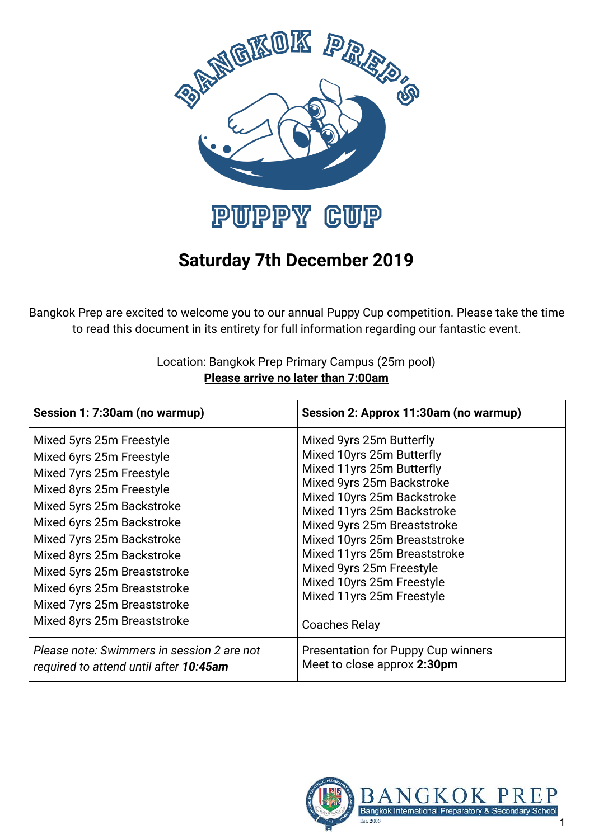

# **Saturday 7th December 2019**

Bangkok Prep are excited to welcome you to our annual Puppy Cup competition. Please take the time to read this document in its entirety for full information regarding our fantastic event.

> Location: Bangkok Prep Primary Campus (25m pool) **Please arrive no later than 7:00am**

| Session 1: 7:30am (no warmup)                                                                                                                                                                                                                                                                                                                                | Session 2: Approx 11:30am (no warmup)                                                                                                                                                                                                                                                                                                                                                    |
|--------------------------------------------------------------------------------------------------------------------------------------------------------------------------------------------------------------------------------------------------------------------------------------------------------------------------------------------------------------|------------------------------------------------------------------------------------------------------------------------------------------------------------------------------------------------------------------------------------------------------------------------------------------------------------------------------------------------------------------------------------------|
| Mixed 5yrs 25m Freestyle<br>Mixed 6yrs 25m Freestyle<br>Mixed 7yrs 25m Freestyle<br>Mixed 8yrs 25m Freestyle<br>Mixed 5yrs 25m Backstroke<br>Mixed 6yrs 25m Backstroke<br>Mixed 7yrs 25m Backstroke<br>Mixed 8yrs 25m Backstroke<br>Mixed 5yrs 25m Breaststroke<br>Mixed 6yrs 25m Breaststroke<br>Mixed 7yrs 25m Breaststroke<br>Mixed 8yrs 25m Breaststroke | Mixed 9yrs 25m Butterfly<br>Mixed 10yrs 25m Butterfly<br>Mixed 11yrs 25m Butterfly<br>Mixed 9yrs 25m Backstroke<br>Mixed 10yrs 25m Backstroke<br>Mixed 11yrs 25m Backstroke<br>Mixed 9yrs 25m Breaststroke<br>Mixed 10yrs 25m Breaststroke<br>Mixed 11yrs 25m Breaststroke<br>Mixed 9yrs 25m Freestyle<br>Mixed 10yrs 25m Freestyle<br>Mixed 11yrs 25m Freestyle<br><b>Coaches Relay</b> |
| Please note: Swimmers in session 2 are not<br>required to attend until after 10:45am                                                                                                                                                                                                                                                                         | Presentation for Puppy Cup winners<br>Meet to close approx 2:30pm                                                                                                                                                                                                                                                                                                                        |

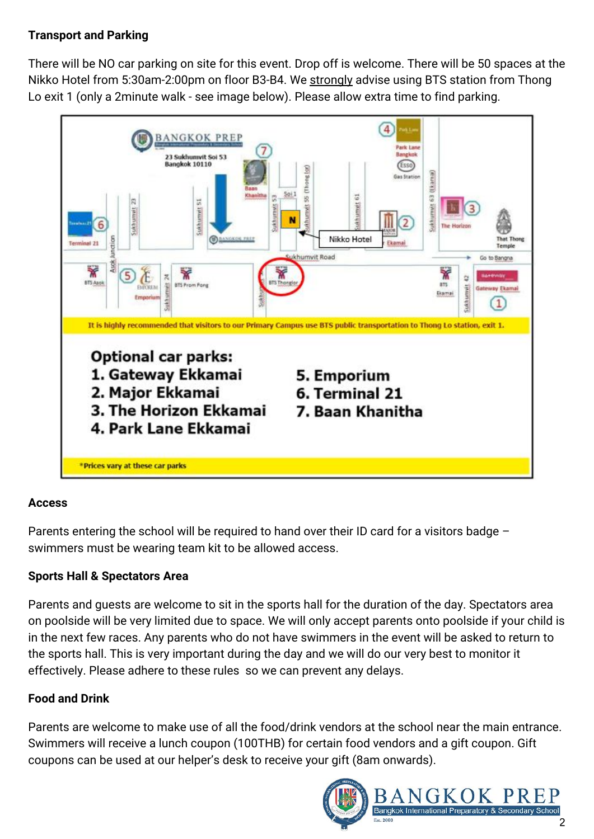## **Transport and Parking**

There will be NO car parking on site for this event. Drop off is welcome. There will be 50 spaces at the Nikko Hotel from 5:30am-2:00pm on floor B3-B4. We strongly advise using BTS station from Thong Lo exit 1 (only a 2minute walk - see image below). Please allow extra time to find parking.



### **Access**

Parents entering the school will be required to hand over their ID card for a visitors badge – swimmers must be wearing team kit to be allowed access.

### **Sports Hall & Spectators Area**

Parents and guests are welcome to sit in the sports hall for the duration of the day. Spectators area on poolside will be very limited due to space. We will only accept parents onto poolside if your child is in the next few races. Any parents who do not have swimmers in the event will be asked to return to the sports hall. This is very important during the day and we will do our very best to monitor it effectively. Please adhere to these rules so we can prevent any delays.

### **Food and Drink**

Parents are welcome to make use of all the food/drink vendors at the school near the main entrance. Swimmers will receive a lunch coupon (100THB) for certain food vendors and a gift coupon. Gift coupons can be used at our helper's desk to receive your gift (8am onwards).